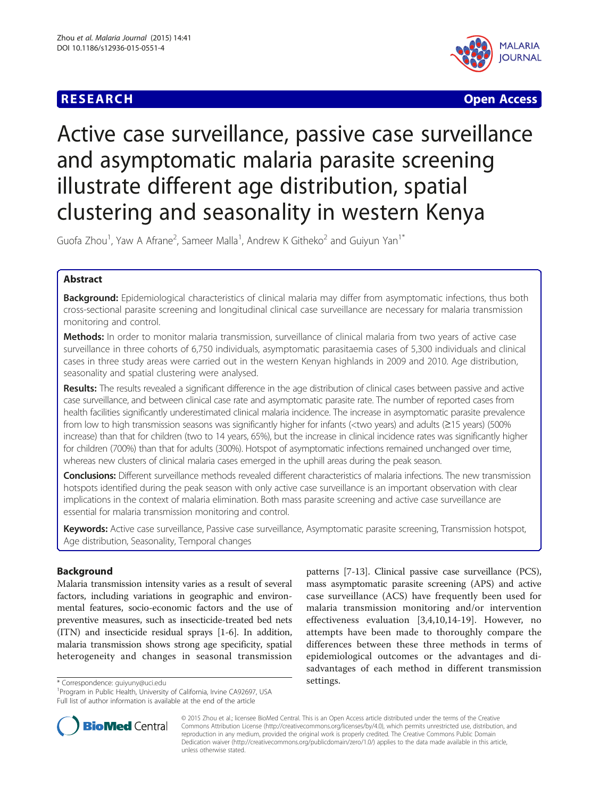# **RESEARCH CHEAR CHEAR CHEAR CHEAR CHEAR CHEAR CHEAR CHEAR CHEAR CHEAR CHEAR CHEAR CHEAR CHEAR CHEAR CHEAR CHEAR**



# Active case surveillance, passive case surveillance and asymptomatic malaria parasite screening illustrate different age distribution, spatial clustering and seasonality in western Kenya

Guofa Zhou<sup>1</sup>, Yaw A Afrane<sup>2</sup>, Sameer Malla<sup>1</sup>, Andrew K Githeko<sup>2</sup> and Guiyun Yan<sup>1\*</sup>

# Abstract

Background: Epidemiological characteristics of clinical malaria may differ from asymptomatic infections, thus both cross-sectional parasite screening and longitudinal clinical case surveillance are necessary for malaria transmission monitoring and control.

Methods: In order to monitor malaria transmission, surveillance of clinical malaria from two years of active case surveillance in three cohorts of 6,750 individuals, asymptomatic parasitaemia cases of 5,300 individuals and clinical cases in three study areas were carried out in the western Kenyan highlands in 2009 and 2010. Age distribution, seasonality and spatial clustering were analysed.

Results: The results revealed a significant difference in the age distribution of clinical cases between passive and active case surveillance, and between clinical case rate and asymptomatic parasite rate. The number of reported cases from health facilities significantly underestimated clinical malaria incidence. The increase in asymptomatic parasite prevalence from low to high transmission seasons was significantly higher for infants (<two years) and adults (≥15 years) (500% increase) than that for children (two to 14 years, 65%), but the increase in clinical incidence rates was significantly higher for children (700%) than that for adults (300%). Hotspot of asymptomatic infections remained unchanged over time, whereas new clusters of clinical malaria cases emerged in the uphill areas during the peak season.

Conclusions: Different surveillance methods revealed different characteristics of malaria infections. The new transmission hotspots identified during the peak season with only active case surveillance is an important observation with clear implications in the context of malaria elimination. Both mass parasite screening and active case surveillance are essential for malaria transmission monitoring and control.

Keywords: Active case surveillance, Passive case surveillance, Asymptomatic parasite screening, Transmission hotspot, Age distribution, Seasonality, Temporal changes

# Background

Malaria transmission intensity varies as a result of several factors, including variations in geographic and environmental features, socio-economic factors and the use of preventive measures, such as insecticide-treated bed nets (ITN) and insecticide residual sprays [\[1](#page-6-0)-[6](#page-6-0)]. In addition, malaria transmission shows strong age specificity, spatial heterogeneity and changes in seasonal transmission

<sup>\*</sup> Correspondence: [guiyuny@uci.edu](mailto:guiyuny@uci.edu) 1997 - correspondence: guiyuny@uci.edu 1998.<br><sup>1</sup> Program in Public Health, University of California, Irvine CA92697, USA Full list of author information is available at the end of the article





© 2015 Zhou et al.; licensee BioMed Central. This is an Open Access article distributed under the terms of the Creative Commons Attribution License [\(http://creativecommons.org/licenses/by/4.0\)](http://creativecommons.org/licenses/by/4.0), which permits unrestricted use, distribution, and reproduction in any medium, provided the original work is properly credited. The Creative Commons Public Domain Dedication waiver [\(http://creativecommons.org/publicdomain/zero/1.0/](http://creativecommons.org/publicdomain/zero/1.0/)) applies to the data made available in this article, unless otherwise stated.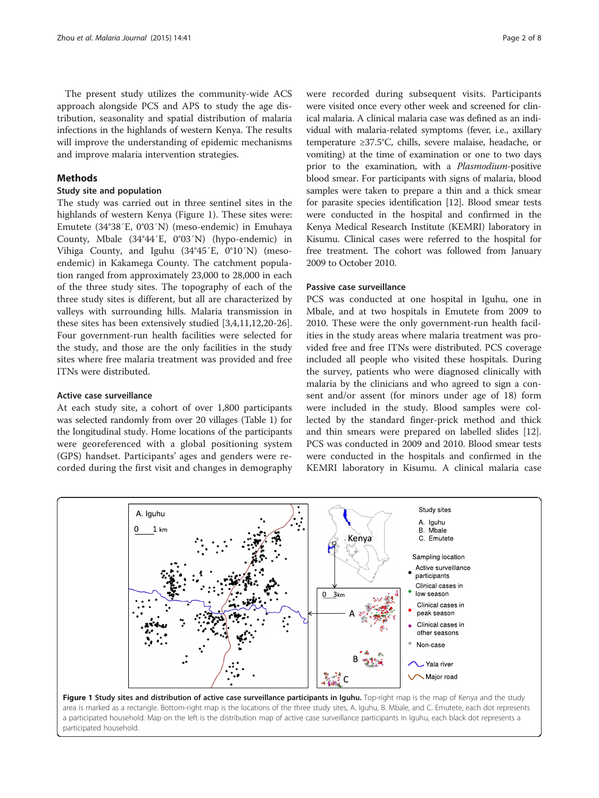<span id="page-1-0"></span>The present study utilizes the community-wide ACS approach alongside PCS and APS to study the age distribution, seasonality and spatial distribution of malaria infections in the highlands of western Kenya. The results will improve the understanding of epidemic mechanisms and improve malaria intervention strategies.

## **Methods**

## Study site and population

The study was carried out in three sentinel sites in the highlands of western Kenya (Figure 1). These sites were: Emutete (34°38′E, 0°03′N) (meso-endemic) in Emuhaya County, Mbale (34°44′E, 0°03′N) (hypo-endemic) in Vihiga County, and Iguhu (34°45′E, 0°10′N) (mesoendemic) in Kakamega County. The catchment population ranged from approximately 23,000 to 28,000 in each of the three study sites. The topography of each of the three study sites is different, but all are characterized by valleys with surrounding hills. Malaria transmission in these sites has been extensively studied [\[3,4](#page-6-0)[,11,12,20-26](#page-7-0)]. Four government-run health facilities were selected for the study, and those are the only facilities in the study sites where free malaria treatment was provided and free ITNs were distributed.

#### Active case surveillance

At each study site, a cohort of over 1,800 participants was selected randomly from over 20 villages (Table [1\)](#page-2-0) for the longitudinal study. Home locations of the participants were georeferenced with a global positioning system (GPS) handset. Participants' ages and genders were recorded during the first visit and changes in demography

were recorded during subsequent visits. Participants were visited once every other week and screened for clinical malaria. A clinical malaria case was defined as an individual with malaria-related symptoms (fever, i.e., axillary temperature ≥37.5°C, chills, severe malaise, headache, or vomiting) at the time of examination or one to two days prior to the examination, with a Plasmodium-positive blood smear. For participants with signs of malaria, blood samples were taken to prepare a thin and a thick smear for parasite species identification [\[12](#page-7-0)]. Blood smear tests were conducted in the hospital and confirmed in the Kenya Medical Research Institute (KEMRI) laboratory in Kisumu. Clinical cases were referred to the hospital for free treatment. The cohort was followed from January 2009 to October 2010.

#### Passive case surveillance

PCS was conducted at one hospital in Iguhu, one in Mbale, and at two hospitals in Emutete from 2009 to 2010. These were the only government-run health facilities in the study areas where malaria treatment was provided free and free ITNs were distributed. PCS coverage included all people who visited these hospitals. During the survey, patients who were diagnosed clinically with malaria by the clinicians and who agreed to sign a consent and/or assent (for minors under age of 18) form were included in the study. Blood samples were collected by the standard finger-prick method and thick and thin smears were prepared on labelled slides [\[12](#page-7-0)]. PCS was conducted in 2009 and 2010. Blood smear tests were conducted in the hospitals and confirmed in the KEMRI laboratory in Kisumu. A clinical malaria case



area is marked as a rectangle. Bottom-right map is the locations of the three study sites, A. Iguhu, B. Mbale, and C. Emutete, each dot represents a participated household. Map on the left is the distribution map of active case surveillance participants in Iguhu, each black dot represents a participated household.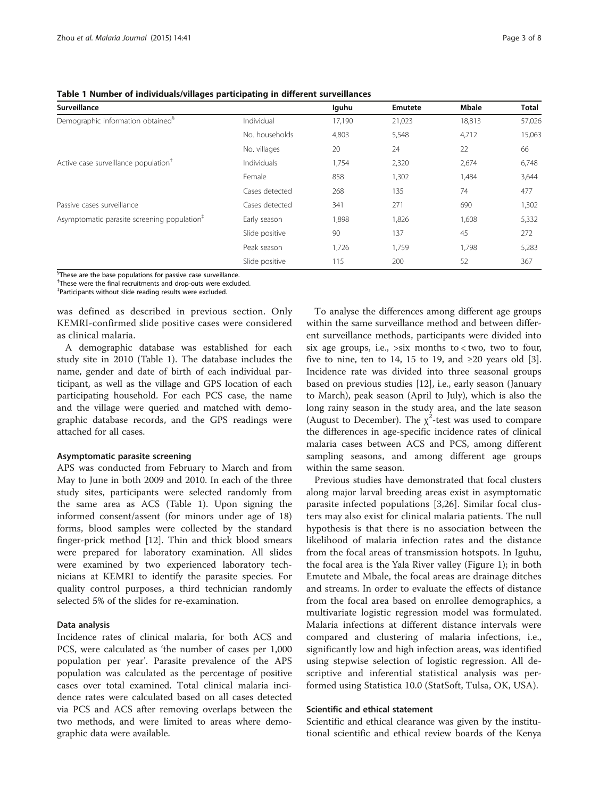<span id="page-2-0"></span>Table 1 Number of individuals/villages participating in different surveillances

| Surveillance                                                                                |                | lguhu  | Emutete | <b>Mbale</b> | <b>Total</b> |
|---------------------------------------------------------------------------------------------|----------------|--------|---------|--------------|--------------|
| Demographic information obtained <sup>§</sup>                                               | Individual     | 17,190 | 21,023  | 18,813       | 57,026       |
|                                                                                             | No. households | 4,803  | 5,548   | 4,712        | 15,063       |
|                                                                                             | No. villages   | 20     | 24      | 22           | 66           |
| Active case surveillance population <sup>†</sup><br>Individuals<br>Female<br>Cases detected |                | 1,754  | 2,320   | 2,674        | 6,748        |
|                                                                                             |                | 858    | 1,302   | 1,484        | 3,644        |
|                                                                                             | 268            | 135    | 74      | 477          |              |
| Passive cases surveillance                                                                  | Cases detected | 341    | 271     | 690          | 1,302        |
| Asymptomatic parasite screening population <sup>#</sup>                                     | Early season   | 1,898  | 1,826   | 1,608        | 5,332        |
|                                                                                             | Slide positive | 90     | 137     | 45           | 272          |
|                                                                                             | Peak season    | 1,726  | 1,759   | 1,798        | 5,283        |
|                                                                                             | Slide positive | 115    | 200     | 52           | 367          |

<sup>§</sup>These are the base populations for passive case surveillance.

† These were the final recruitments and drop-outs were excluded.

‡ Participants without slide reading results were excluded.

was defined as described in previous section. Only KEMRI-confirmed slide positive cases were considered as clinical malaria.

A demographic database was established for each study site in 2010 (Table 1). The database includes the name, gender and date of birth of each individual participant, as well as the village and GPS location of each participating household. For each PCS case, the name and the village were queried and matched with demographic database records, and the GPS readings were attached for all cases.

#### Asymptomatic parasite screening

APS was conducted from February to March and from May to June in both 2009 and 2010. In each of the three study sites, participants were selected randomly from the same area as ACS (Table 1). Upon signing the informed consent/assent (for minors under age of 18) forms, blood samples were collected by the standard finger-prick method [[12](#page-7-0)]. Thin and thick blood smears were prepared for laboratory examination. All slides were examined by two experienced laboratory technicians at KEMRI to identify the parasite species. For quality control purposes, a third technician randomly selected 5% of the slides for re-examination.

## Data analysis

Incidence rates of clinical malaria, for both ACS and PCS, were calculated as 'the number of cases per 1,000 population per year'. Parasite prevalence of the APS population was calculated as the percentage of positive cases over total examined. Total clinical malaria incidence rates were calculated based on all cases detected via PCS and ACS after removing overlaps between the two methods, and were limited to areas where demographic data were available.

To analyse the differences among different age groups within the same surveillance method and between different surveillance methods, participants were divided into six age groups, i.e., >six months to < two, two to four, five to nine, ten to 14, 15 to 19, and  $\geq 20$  years old [\[3](#page-6-0)]. Incidence rate was divided into three seasonal groups based on previous studies [[12\]](#page-7-0), i.e., early season (January to March), peak season (April to July), which is also the long rainy season in the study area, and the late season (August to December). The  $\chi^2$ -test was used to compare the differences in age-specific incidence rates of clinical malaria cases between ACS and PCS, among different sampling seasons, and among different age groups within the same season.

Previous studies have demonstrated that focal clusters along major larval breeding areas exist in asymptomatic parasite infected populations [\[3](#page-6-0),[26\]](#page-7-0). Similar focal clusters may also exist for clinical malaria patients. The null hypothesis is that there is no association between the likelihood of malaria infection rates and the distance from the focal areas of transmission hotspots. In Iguhu, the focal area is the Yala River valley (Figure [1\)](#page-1-0); in both Emutete and Mbale, the focal areas are drainage ditches and streams. In order to evaluate the effects of distance from the focal area based on enrollee demographics, a multivariate logistic regression model was formulated. Malaria infections at different distance intervals were compared and clustering of malaria infections, i.e., significantly low and high infection areas, was identified using stepwise selection of logistic regression. All descriptive and inferential statistical analysis was performed using Statistica 10.0 (StatSoft, Tulsa, OK, USA).

#### Scientific and ethical statement

Scientific and ethical clearance was given by the institutional scientific and ethical review boards of the Kenya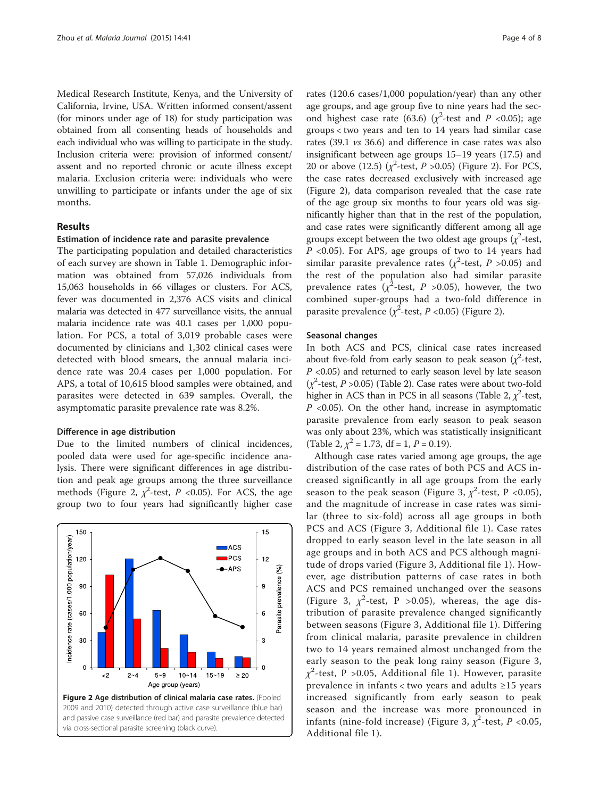Medical Research Institute, Kenya, and the University of California, Irvine, USA. Written informed consent/assent (for minors under age of 18) for study participation was obtained from all consenting heads of households and each individual who was willing to participate in the study. Inclusion criteria were: provision of informed consent/ assent and no reported chronic or acute illness except malaria. Exclusion criteria were: individuals who were unwilling to participate or infants under the age of six months.

## Results

#### Estimation of incidence rate and parasite prevalence

The participating population and detailed characteristics of each survey are shown in Table [1](#page-2-0). Demographic information was obtained from 57,026 individuals from 15,063 households in 66 villages or clusters. For ACS, fever was documented in 2,376 ACS visits and clinical malaria was detected in 477 surveillance visits, the annual malaria incidence rate was 40.1 cases per 1,000 population. For PCS, a total of 3,019 probable cases were documented by clinicians and 1,302 clinical cases were detected with blood smears, the annual malaria incidence rate was 20.4 cases per 1,000 population. For APS, a total of 10,615 blood samples were obtained, and parasites were detected in 639 samples. Overall, the asymptomatic parasite prevalence rate was 8.2%.

#### Difference in age distribution

Due to the limited numbers of clinical incidences, pooled data were used for age-specific incidence analysis. There were significant differences in age distribution and peak age groups among the three surveillance methods (Figure 2,  $\chi^2$ -test, P <0.05). For ACS, the age group two to four years had significantly higher case

![](_page_3_Figure_7.jpeg)

rates (120.6 cases/1,000 population/year) than any other age groups, and age group five to nine years had the second highest case rate (63.6) ( $\chi^2$ -test and P <0.05); age groups < two years and ten to 14 years had similar case rates (39.1 vs 36.6) and difference in case rates was also insignificant between age groups 15–19 years (17.5) and 20 or above (12.5) ( $\chi^2$ -test, P > 0.05) (Figure 2). For PCS, the case rates decreased exclusively with increased age (Figure 2), data comparison revealed that the case rate of the age group six months to four years old was significantly higher than that in the rest of the population, and case rates were significantly different among all age groups except between the two oldest age groups  $(\chi^2$ -test, P <0.05). For APS, age groups of two to 14 years had similar parasite prevalence rates ( $\chi^2$ -test, P > 0.05) and the rest of the population also had similar parasite prevalence rates ( $\chi^2$ -test, P >0.05), however, the two combined super-groups had a two-fold difference in parasite prevalence ( $\chi^2$ -test, P <0.05) (Figure 2).

#### Seasonal changes

In both ACS and PCS, clinical case rates increased about five-fold from early season to peak season ( $\chi^2$ -test,  $P$  <0.05) and returned to early season level by late season  $(\chi^2$ -test,  $P > 0.05)$  (Table [2](#page-4-0)). Case rates were about two-fold higher in ACS than in PCS in all seasons (Table [2,](#page-4-0)  $\chi^2$ -test,  $P$  <0.05). On the other hand, increase in asymptomatic parasite prevalence from early season to peak season was only about 23%, which was statistically insignificant (Table [2](#page-4-0),  $\chi^2$  = 1.73, df = 1, P = 0.19).

Although case rates varied among age groups, the age distribution of the case rates of both PCS and ACS increased significantly in all age groups from the early season to the peak season (Figure [3,](#page-4-0)  $\chi^2$ -test, P <0.05), and the magnitude of increase in case rates was similar (three to six-fold) across all age groups in both PCS and ACS (Figure [3,](#page-4-0) Additional file [1\)](#page-6-0). Case rates dropped to early season level in the late season in all age groups and in both ACS and PCS although magnitude of drops varied (Figure [3,](#page-4-0) Additional file [1](#page-6-0)). However, age distribution patterns of case rates in both ACS and PCS remained unchanged over the seasons (Figure [3,](#page-4-0)  $\chi^2$ -test, P > 0.05), whereas, the age distribution of parasite prevalence changed significantly between seasons (Figure [3,](#page-4-0) Additional file [1\)](#page-6-0). Differing from clinical malaria, parasite prevalence in children two to 14 years remained almost unchanged from the early season to the peak long rainy season (Figure [3](#page-4-0),  $\chi^2$ -test, P >0.05, Additional file [1](#page-6-0)). However, parasite prevalence in infants < two years and adults ≥15 years increased significantly from early season to peak season and the increase was more pronounced in infants (nine-fold increase) (Figure [3,](#page-4-0)  $\chi^2$ -test, P <0.05, Additional file [1](#page-6-0)).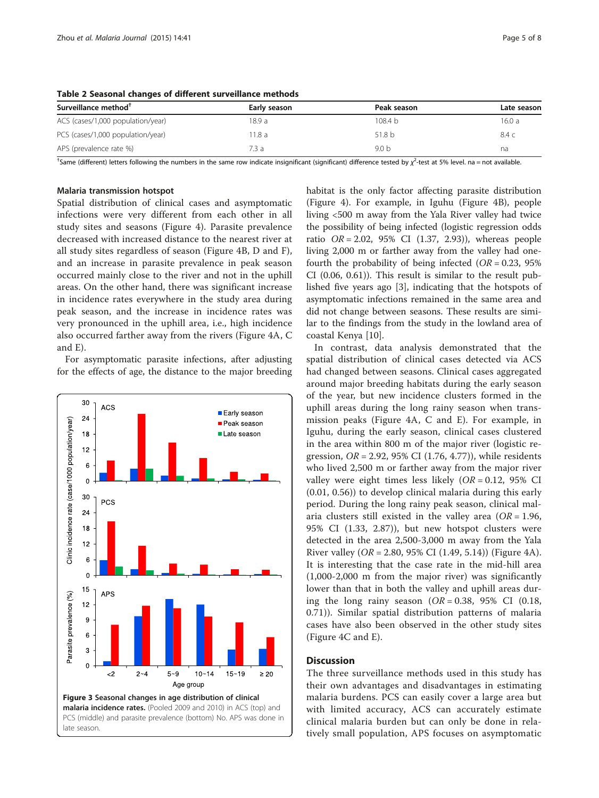| Surveillance method <sup>†</sup>  | Early season | Peak season       | Late season |
|-----------------------------------|--------------|-------------------|-------------|
| ACS (cases/1,000 population/year) | 18.9 a       | 108.4 h           | 16.0 a      |
| PCS (cases/1,000 population/year) | 11.8a        | 51.8 <sub>b</sub> | 8.4 c       |
| APS (prevalence rate %)           | 7.3a         | 9.0 <sub>b</sub>  | na          |

<span id="page-4-0"></span>Table 2 Seasonal changes of different surveillance methods

<sup>†</sup>Same (different) letters following the numbers in the same row indicate insignificant (significant) difference tested by  $\chi^2$ -test at 5% level. na = not available

#### Malaria transmission hotspot

Spatial distribution of clinical cases and asymptomatic infections were very different from each other in all study sites and seasons (Figure [4\)](#page-5-0). Parasite prevalence decreased with increased distance to the nearest river at all study sites regardless of season (Figure [4](#page-5-0)B, D and F), and an increase in parasite prevalence in peak season occurred mainly close to the river and not in the uphill areas. On the other hand, there was significant increase in incidence rates everywhere in the study area during peak season, and the increase in incidence rates was very pronounced in the uphill area, i.e., high incidence also occurred farther away from the rivers (Figure [4A](#page-5-0), C and E).

For asymptomatic parasite infections, after adjusting for the effects of age, the distance to the major breeding

![](_page_4_Figure_8.jpeg)

habitat is the only factor affecting parasite distribution (Figure [4\)](#page-5-0). For example, in Iguhu (Figure [4](#page-5-0)B), people living <500 m away from the Yala River valley had twice the possibility of being infected (logistic regression odds ratio  $OR = 2.02$ , 95% CI (1.37, 2.93)), whereas people living 2,000 m or farther away from the valley had onefourth the probability of being infected  $(OR = 0.23, 95\%)$ CI (0.06, 0.61)). This result is similar to the result published five years ago [[3](#page-6-0)], indicating that the hotspots of asymptomatic infections remained in the same area and did not change between seasons. These results are similar to the findings from the study in the lowland area of coastal Kenya [[10\]](#page-7-0).

In contrast, data analysis demonstrated that the spatial distribution of clinical cases detected via ACS had changed between seasons. Clinical cases aggregated around major breeding habitats during the early season of the year, but new incidence clusters formed in the uphill areas during the long rainy season when transmission peaks (Figure [4A](#page-5-0), C and E). For example, in Iguhu, during the early season, clinical cases clustered in the area within 800 m of the major river (logistic regression,  $OR = 2.92$ , 95% CI (1.76, 4.77)), while residents who lived 2,500 m or farther away from the major river valley were eight times less likely  $(OR = 0.12, 95\% \text{ CI})$ (0.01, 0.56)) to develop clinical malaria during this early period. During the long rainy peak season, clinical malaria clusters still existed in the valley area  $(OR = 1.96,$ 95% CI (1.33, 2.87)), but new hotspot clusters were detected in the area 2,500-3,000 m away from the Yala River valley (*OR* = 2.80, 95% CI (1.49, 5.14)) (Figure [4](#page-5-0)A). It is interesting that the case rate in the mid-hill area (1,000-2,000 m from the major river) was significantly lower than that in both the valley and uphill areas during the long rainy season  $(OR = 0.38, 95\% \text{ CI } (0.18,$ 0.71)). Similar spatial distribution patterns of malaria cases have also been observed in the other study sites (Figure [4](#page-5-0)C and E).

## **Discussion**

The three surveillance methods used in this study has their own advantages and disadvantages in estimating malaria burdens. PCS can easily cover a large area but with limited accuracy, ACS can accurately estimate clinical malaria burden but can only be done in relatively small population, APS focuses on asymptomatic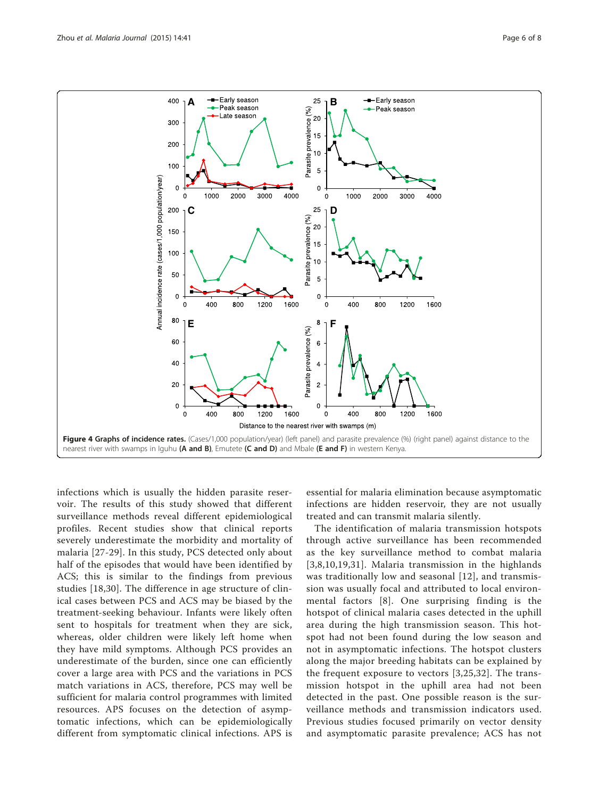<span id="page-5-0"></span>![](_page_5_Figure_2.jpeg)

infections which is usually the hidden parasite reservoir. The results of this study showed that different surveillance methods reveal different epidemiological profiles. Recent studies show that clinical reports severely underestimate the morbidity and mortality of malaria [\[27-29\]](#page-7-0). In this study, PCS detected only about half of the episodes that would have been identified by ACS; this is similar to the findings from previous studies [[18,30](#page-7-0)]. The difference in age structure of clinical cases between PCS and ACS may be biased by the treatment-seeking behaviour. Infants were likely often sent to hospitals for treatment when they are sick, whereas, older children were likely left home when they have mild symptoms. Although PCS provides an underestimate of the burden, since one can efficiently cover a large area with PCS and the variations in PCS match variations in ACS, therefore, PCS may well be sufficient for malaria control programmes with limited resources. APS focuses on the detection of asymptomatic infections, which can be epidemiologically different from symptomatic clinical infections. APS is

essential for malaria elimination because asymptomatic infections are hidden reservoir, they are not usually treated and can transmit malaria silently.

The identification of malaria transmission hotspots through active surveillance has been recommended as the key surveillance method to combat malaria [[3](#page-6-0),[8,10,19](#page-7-0),[31](#page-7-0)]. Malaria transmission in the highlands was traditionally low and seasonal [[12\]](#page-7-0), and transmission was usually focal and attributed to local environmental factors [[8\]](#page-7-0). One surprising finding is the hotspot of clinical malaria cases detected in the uphill area during the high transmission season. This hotspot had not been found during the low season and not in asymptomatic infections. The hotspot clusters along the major breeding habitats can be explained by the frequent exposure to vectors [[3](#page-6-0),[25,32\]](#page-7-0). The transmission hotspot in the uphill area had not been detected in the past. One possible reason is the surveillance methods and transmission indicators used. Previous studies focused primarily on vector density and asymptomatic parasite prevalence; ACS has not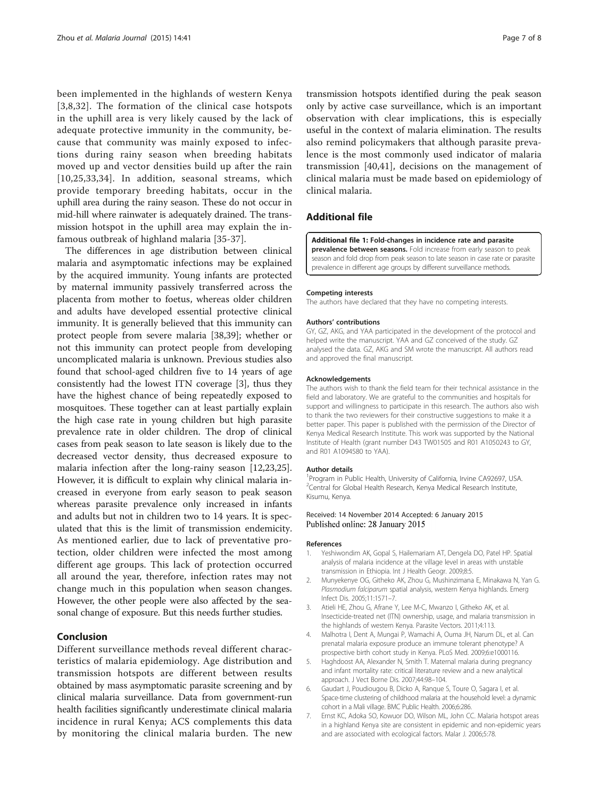<span id="page-6-0"></span>been implemented in the highlands of western Kenya [3,[8,32\]](#page-7-0). The formation of the clinical case hotspots in the uphill area is very likely caused by the lack of adequate protective immunity in the community, because that community was mainly exposed to infections during rainy season when breeding habitats moved up and vector densities build up after the rain [[10](#page-7-0),[25](#page-7-0),[33,34\]](#page-7-0). In addition, seasonal streams, which provide temporary breeding habitats, occur in the uphill area during the rainy season. These do not occur in mid-hill where rainwater is adequately drained. The transmission hotspot in the uphill area may explain the infamous outbreak of highland malaria [[35-37](#page-7-0)].

The differences in age distribution between clinical malaria and asymptomatic infections may be explained by the acquired immunity. Young infants are protected by maternal immunity passively transferred across the placenta from mother to foetus, whereas older children and adults have developed essential protective clinical immunity. It is generally believed that this immunity can protect people from severe malaria [[38,39\]](#page-7-0); whether or not this immunity can protect people from developing uncomplicated malaria is unknown. Previous studies also found that school-aged children five to 14 years of age consistently had the lowest ITN coverage [3], thus they have the highest chance of being repeatedly exposed to mosquitoes. These together can at least partially explain the high case rate in young children but high parasite prevalence rate in older children. The drop of clinical cases from peak season to late season is likely due to the decreased vector density, thus decreased exposure to malaria infection after the long-rainy season [\[12,23,25](#page-7-0)]. However, it is difficult to explain why clinical malaria increased in everyone from early season to peak season whereas parasite prevalence only increased in infants and adults but not in children two to 14 years. It is speculated that this is the limit of transmission endemicity. As mentioned earlier, due to lack of preventative protection, older children were infected the most among different age groups. This lack of protection occurred all around the year, therefore, infection rates may not change much in this population when season changes. However, the other people were also affected by the seasonal change of exposure. But this needs further studies.

#### Conclusion

Different surveillance methods reveal different characteristics of malaria epidemiology. Age distribution and transmission hotspots are different between results obtained by mass asymptomatic parasite screening and by clinical malaria surveillance. Data from government-run health facilities significantly underestimate clinical malaria incidence in rural Kenya; ACS complements this data by monitoring the clinical malaria burden. The new transmission hotspots identified during the peak season only by active case surveillance, which is an important observation with clear implications, this is especially useful in the context of malaria elimination. The results also remind policymakers that although parasite prevalence is the most commonly used indicator of malaria transmission [\[40](#page-7-0),[41\]](#page-7-0), decisions on the management of clinical malaria must be made based on epidemiology of clinical malaria.

## Additional file

[Additional file 1:](http://www.malariajournal.com/content/supplementary/s12936-015-0551-4-s1.docx) Fold-changes in incidence rate and parasite prevalence between seasons. Fold increase from early season to peak season and fold drop from peak season to late season in case rate or parasite prevalence in different age groups by different surveillance methods.

#### Competing interests

The authors have declared that they have no competing interests.

#### Authors' contributions

GY, GZ, AKG, and YAA participated in the development of the protocol and helped write the manuscript. YAA and GZ conceived of the study. GZ analysed the data. GZ, AKG and SM wrote the manuscript. All authors read and approved the final manuscript.

#### Acknowledgements

The authors wish to thank the field team for their technical assistance in the field and laboratory. We are grateful to the communities and hospitals for support and willingness to participate in this research. The authors also wish to thank the two reviewers for their constructive suggestions to make it a better paper. This paper is published with the permission of the Director of Kenya Medical Research Institute. This work was supported by the National Institute of Health (grant number D43 TW01505 and R01 A1050243 to GY, and R01 A1094580 to YAA).

#### Author details

<sup>1</sup> Program in Public Health, University of California, Irvine CA92697, USA <sup>2</sup>Central for Global Health Research, Kenya Medical Research Institute Kisumu, Kenya.

#### Received: 14 November 2014 Accepted: 6 January 2015 Published online: 28 January 2015

#### References

- 1. Yeshiwondim AK, Gopal S, Hailemariam AT, Dengela DO, Patel HP. Spatial analysis of malaria incidence at the village level in areas with unstable transmission in Ethiopia. Int J Health Geogr. 2009;8:5.
- 2. Munyekenye OG, Githeko AK, Zhou G, Mushinzimana E, Minakawa N, Yan G. Plasmodium falciparum spatial analysis, western Kenya highlands. Emerg Infect Dis. 2005;11:1571–7.
- 3. Atieli HE, Zhou G, Afrane Y, Lee M-C, Mwanzo I, Githeko AK, et al. Insecticide-treated net (ITN) ownership, usage, and malaria transmission in the highlands of western Kenya. Parasite Vectors. 2011;4:113.
- 4. Malhotra I, Dent A, Mungai P, Wamachi A, Ouma JH, Narum DL, et al. Can prenatal malaria exposure produce an immune tolerant phenotype? A prospective birth cohort study in Kenya. PLoS Med. 2009;6:e1000116.
- Haghdoost AA, Alexander N, Smith T. Maternal malaria during pregnancy and infant mortality rate: critical literature review and a new analytical approach. J Vect Borne Dis. 2007;44:98–104.
- 6. Gaudart J, Poudiougou B, Dicko A, Ranque S, Toure O, Sagara I, et al. Space-time clustering of childhood malaria at the household level: a dynamic cohort in a Mali village. BMC Public Health. 2006;6:286.
- 7. Ernst KC, Adoka SO, Kowuor DO, Wilson ML, John CC. Malaria hotspot areas in a highland Kenya site are consistent in epidemic and non-epidemic years and are associated with ecological factors. Malar J. 2006;5:78.